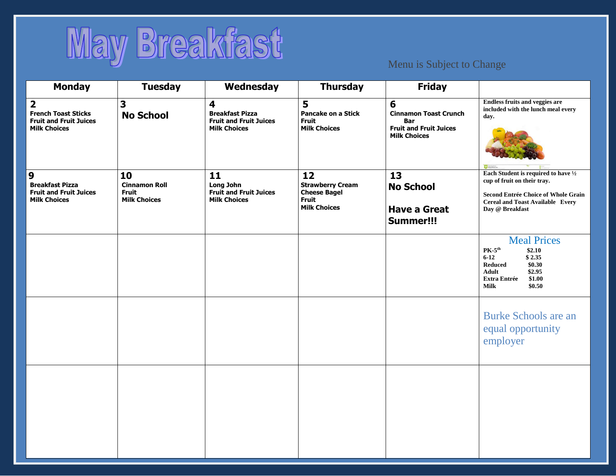

| <b>Monday</b>                                                                                                 | <b>Tuesday</b>                                                    | Wednesday                                                                                                 | <b>Thursday</b>                                                                             | <b>Friday</b>                                                                                           |                                                                                                                                                                                    |
|---------------------------------------------------------------------------------------------------------------|-------------------------------------------------------------------|-----------------------------------------------------------------------------------------------------------|---------------------------------------------------------------------------------------------|---------------------------------------------------------------------------------------------------------|------------------------------------------------------------------------------------------------------------------------------------------------------------------------------------|
| $\overline{\mathbf{2}}$<br><b>French Toast Sticks</b><br><b>Fruit and Fruit Juices</b><br><b>Milk Choices</b> | $\overline{\mathbf{3}}$<br><b>No School</b>                       | $\overline{\mathbf{4}}$<br><b>Breakfast Pizza</b><br><b>Fruit and Fruit Juices</b><br><b>Milk Choices</b> | 5<br><b>Pancake on a Stick</b><br>Fruit<br><b>Milk Choices</b>                              | 6<br><b>Cinnamon Toast Crunch</b><br><b>Bar</b><br><b>Fruit and Fruit Juices</b><br><b>Milk Choices</b> | <b>Endless fruits and veggies are</b><br>included with the lunch meal every<br>day.                                                                                                |
| 9<br><b>Breakfast Pizza</b><br><b>Fruit and Fruit Juices</b><br><b>Milk Choices</b>                           | 10<br><b>Cinnamon Roll</b><br><b>Fruit</b><br><b>Milk Choices</b> | 11<br>Long John<br><b>Fruit and Fruit Juices</b><br><b>Milk Choices</b>                                   | 12<br><b>Strawberry Cream</b><br><b>Cheese Bagel</b><br><b>Fruit</b><br><b>Milk Choices</b> | 13<br><b>No School</b><br><b>Have a Great</b><br>Summer!!!                                              | Each Student is required to have $\frac{1}{2}$<br>cup of fruit on their tray.<br>Second Entrée Choice of Whole Grain<br><b>Cereal and Toast Available Every</b><br>Day @ Breakfast |
|                                                                                                               |                                                                   |                                                                                                           |                                                                                             |                                                                                                         | <b>Meal Prices</b><br>$PK-5th$<br>\$2.10<br>\$2.35<br>$6 - 12$<br><b>Reduced</b><br>\$0.30<br>\$2.95<br><b>Adult</b><br><b>Extra Entrée</b><br>\$1.00<br><b>Milk</b><br>\$0.50     |
|                                                                                                               |                                                                   |                                                                                                           |                                                                                             |                                                                                                         | <b>Burke Schools are an</b><br>equal opportunity<br>employer                                                                                                                       |
|                                                                                                               |                                                                   |                                                                                                           |                                                                                             |                                                                                                         |                                                                                                                                                                                    |
|                                                                                                               |                                                                   |                                                                                                           |                                                                                             |                                                                                                         |                                                                                                                                                                                    |